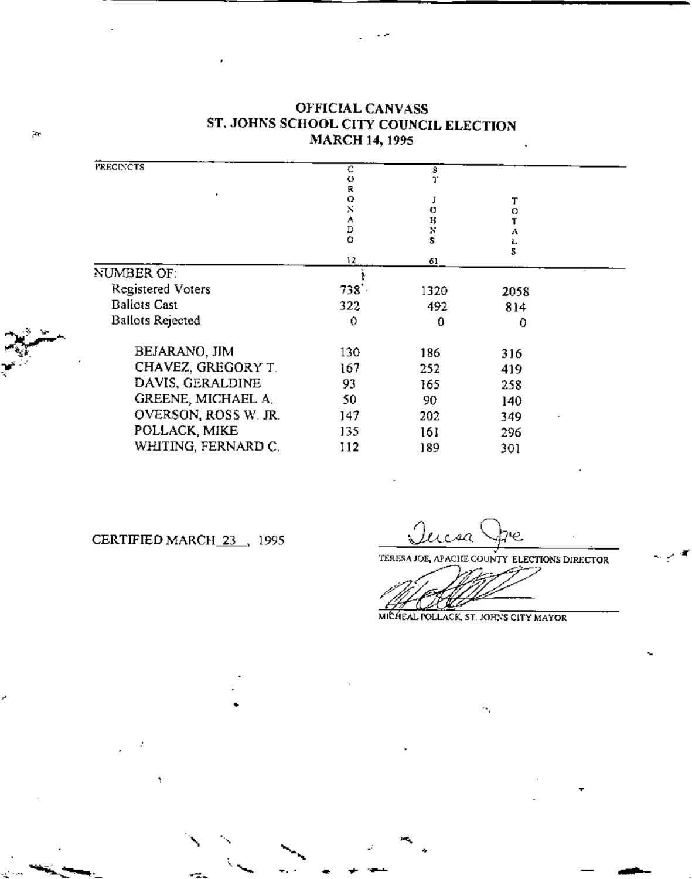| <b>PRECINCTS</b>        | с      |         |      |  |
|-------------------------|--------|---------|------|--|
|                         | o      | s<br>J. |      |  |
|                         | R      |         |      |  |
|                         | ο      |         | т    |  |
|                         | Ň      | α       | ο    |  |
|                         | A<br>D | н       |      |  |
|                         | o      | X<br>S  | ۸    |  |
|                         |        |         | 5    |  |
|                         | 12     | 61      |      |  |
| NUMBER OF:              |        |         |      |  |
| Registered Voters       | 738'   | 1320    | 2058 |  |
| <b>Ballots Cast</b>     | 322    | 492     | 814  |  |
| <b>Ballots Rejected</b> | 0      | 0       | 0    |  |
| BEJARANO, JIM           | 130    | 186     | 316  |  |
| CHAVEZ, GREGORY T.      | 167    | 252     | 419  |  |
| DAVIS, GERALDINE        | 93     | 165     | 258  |  |
| GREENE, MICHAEL A.      | 50     | 90      | 140  |  |
| OVERSON, ROSS W. JR.    | 147    | 202     | 349  |  |
| POLLACK, MIKE           | 135    | 161     | 296  |  |
| WHITING, FERNARD C.     | 112    | 189     | 301  |  |

## **OFFICIAL CANVASS** ST. JOHNS SCHOOL CITY COUNCIL ELECTION **MARCH 14, 1995**

CERTIFIED MARCH 23 , 1995

Y

acsa e

TERESA JOE, APACHE COUNTY ELECTIONS DIRECTOR

MICHEAL POLLACK, ST. JOHNS CITY MAYOR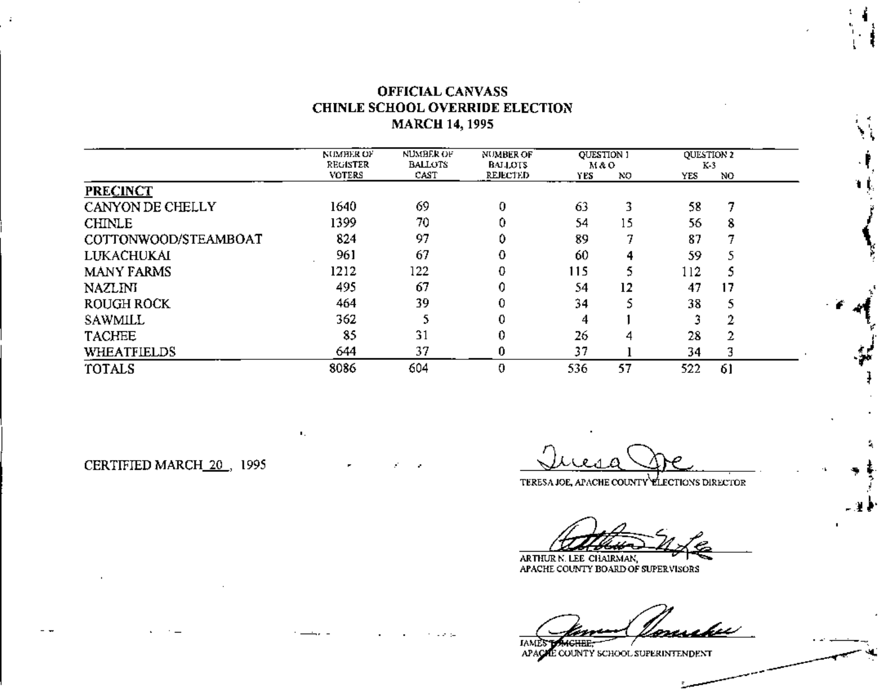## **OFFICIAL CANVASS** CHINLE SCHOOL OVERRIDE ELECTION **MARCH 14, 1995**

|                      | NUMHER OF<br>REGISTER | <b>NUMBER OF</b><br><b>BALLOTS</b> | <b>NUMBER OF</b><br><b>BALLOTS</b> | <b>QUESTION 1</b><br>мао |     | <b>OUESTION 2</b><br>K-3 |    |  |
|----------------------|-----------------------|------------------------------------|------------------------------------|--------------------------|-----|--------------------------|----|--|
|                      | <b>VOTERS</b>         | CAST                               | REJECTED                           | YES.                     | NO. | YES                      | NO |  |
| <b>PRECINCT</b>      |                       |                                    |                                    |                          |     |                          |    |  |
| CANYON DE CHELLY     | 1640                  | 69                                 | 0                                  | 63                       |     | 58                       |    |  |
| <b>CHINLE</b>        | 1399                  | 70                                 |                                    | 54                       | 15  | 56                       | 8  |  |
| COTTONWOOD/STEAMBOAT | 824                   | 97                                 | 0                                  | 89                       |     | 87                       |    |  |
| LUKACHUKAI           | 961                   | 67                                 | 0                                  | 60                       | 4   | 59                       |    |  |
| <b>MANY FARMS</b>    | 1212                  | 122                                | 0                                  | 115                      |     | 112                      | S  |  |
| NAZLINI              | 495                   | 67                                 | 0                                  | 54                       | 12  | 47                       | 17 |  |
| ROUGH ROCK           | 464                   | 39                                 | 0                                  | 34                       |     | 38                       | 5  |  |
| SAWMILL              | 362                   |                                    | 0                                  | 4                        |     |                          | 2  |  |
| <b>TACHEE</b>        | 85                    | 31                                 | 0                                  | 26                       | 4   | 28                       | 2  |  |
| <b>WHEATFIELDS</b>   | 644                   | 37                                 | 0                                  | 37                       |     | 34                       | 3  |  |
| TOTALS               | 8086                  | 604                                | 0                                  | 536                      | 57  | 522                      | 61 |  |

CERTIFIED MARCH\_20., 1995

 $\mathbf{L}_{\mathrm{c}}$ 

TERESA JOE, APACHE COUNTY ELECTIONS DIRECTOR

ARTHUR N. LEE CHAIRMAN, APACHE COUNTY BOARD OF SUPERVISORS

**CUPP** 

IA. APACTLE COUNTY SCHOOL SUPERINTENDENT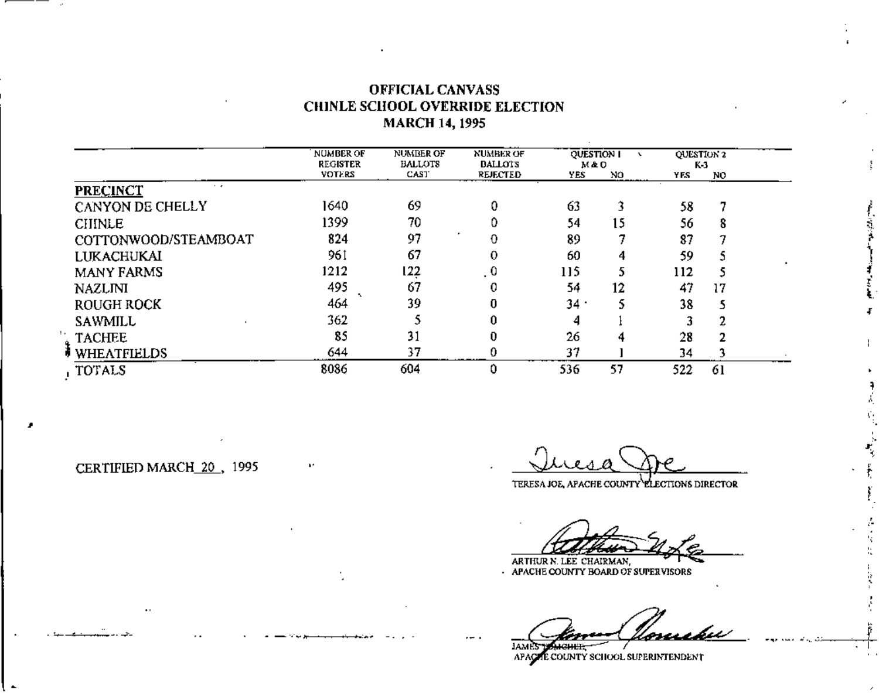## **OFFICIAL CANVASS** CHINLE SCHOOL OVERRIDE ELECTION **MARCH 14, 1995**

|                                    | <b>NUMBER OF</b><br><b>REGISTER</b> | <b>NUMBER OF</b><br><b>BALLOTS</b> | <b>NUMBER OF</b><br><b>DALLOTS</b> | <b>QUESTION I</b><br>M&O |     | QUESTION 2<br>K 3 |    |  |
|------------------------------------|-------------------------------------|------------------------------------|------------------------------------|--------------------------|-----|-------------------|----|--|
|                                    | <b>VOTERS</b>                       | CAST                               | <b>REJECTED</b>                    | YES                      | NO. | Y F.S             | NO |  |
| $\cdot$ $\cdot$<br><b>PRECINCT</b> |                                     |                                    |                                    |                          |     |                   |    |  |
| CANYON DE CHELLY                   | 1640                                | 69                                 |                                    | 63                       |     | 58                |    |  |
| <b>CHINLE</b>                      | 1399                                | 70                                 |                                    | 54                       | 15  | 56                | 8  |  |
| COTTONWOOD/STEAMBOAT               | 824                                 | 97                                 | 0                                  | 89                       |     | 87                |    |  |
| <b>LUKACHUKAI</b>                  | 961                                 | 67                                 | 0                                  | 60                       | 4   | 59                |    |  |
| <b>MANY FARMS</b>                  | 1212                                | 122                                | . 0                                | 115                      |     | 112               | 5  |  |
| <b>NAZLINI</b>                     | 495                                 | 67                                 | 0                                  | 54                       | 12  | 47                | 17 |  |
| ROUGH ROCK                         | 464                                 | 39                                 | 0                                  | 34.                      |     | 38                | ٢  |  |
| <b>SAWMILL</b>                     | 362                                 |                                    | 0                                  |                          |     |                   |    |  |
| <b>TACHEE</b>                      | 85                                  | 31                                 |                                    | 26                       |     | 28                |    |  |
| <b>WHEATFIELDS</b>                 | 644                                 | 37                                 | 0.                                 | 37                       |     | 34                |    |  |
| , TOTALS                           | 8086                                | 604                                | 0                                  | 536                      | 57  | 522               | 61 |  |

CERTIFIED MARCH\_20, 1995

i in the company of the company of the company of the company of the company of the company of the company of the company of the company of the company of the company of the company of the company of the company of the com

TERESA JOE, APACHE COUNTY ELECTIONS DIRECTOR

ARTHUR N. LEE CHAIRMAN, ARTHUR N. LEE CHAIRMAN,

ختصورها

APACTE COUNTY SCHOOL SUPERINTENDENT